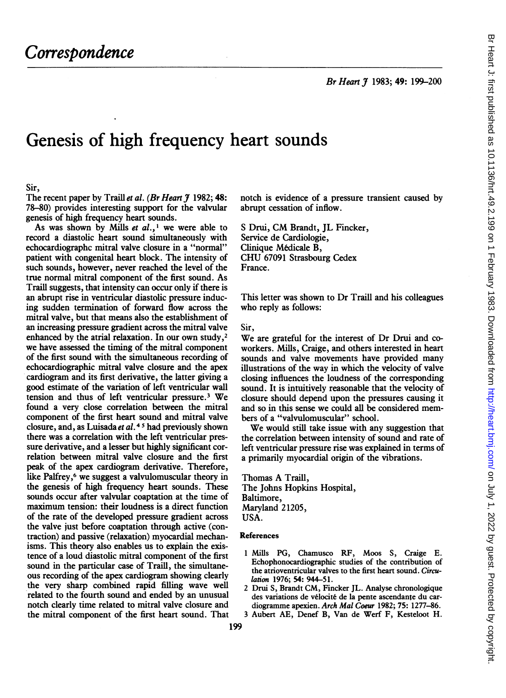Br Heart J 1983; 49: 199-200

# Genesis of high frequency heart sounds

#### Sir,

The recent paper by Traill et al. (Br Heart  $\tilde{\jmath}$  1982; 48: 78-80) provides interesting support for the valvular genesis of high frequency heart sounds.

As was shown by Mills et  $al.$ ,<sup>1</sup> we were able to record a diastolic heart sound simultaneously with echocardiographc mitral valve closure in a "normal" patient with congenital heart block. The intensity of such sounds, however, never reached the level of the true normal mitral component of the first sound. As Traill suggests, that intensity can occur only if there is an abrupt rise in ventricular diastolic pressure inducing sudden termination of forward flow across the mitral valve, but that means also the establishment of an increasing pressure gradient across the mitral valve enhanced by the atrial relaxation. In our own study,<sup>2</sup> we have assessed the timing of the mitral component of the first sound with the simultaneous recording of echocardiographic mitral valve closure and the apex cardiogram and its first derivative, the latter giving a good estimate of the variation of left ventricular wall tension and thus of left ventricular pressure.3 We found a very close correlation between the mitral component of the first heart sound and mitral valve closure, and, as Luisada et al. 45 had previously shown there was a correlation with the left ventricular pressure derivative, and a lesser but highly significant correlation between mitral valve closure and the first peak of the apex cardiogram derivative. Therefore, like Palfrey,<sup>6</sup> we suggest a valvulomuscular theory in the genesis of high frequency heart sounds. These sounds occur after valvular coaptation at the time of maximum tension: their loudness is <sup>a</sup> direct function of the rate of the developed pressure gradient across the valve just before coaptation through active (contraction) and passive (relaxation) myocardial mechanisms. This theory also enables us to explain the existence of a loud diastolic mitral component of the first sound in the particular case of Traill, the simultaneous recording of the apex cardiogram showing clearly the very sharp combined rapid filling wave well related to the fourth sound and ended by an unusual notch clearly time related to mitral valve closure and the mitral component of the first heart sound. That notch is evidence of a pressure transient caused by abrupt cessation of inflow.

<sup>S</sup> Drui, CM Brandt, JL Fincker, Service de Cardiologie, Clinique Medicale B, CHU <sup>67091</sup> Strasbourg Cedex France.

This letter was shown to Dr Traill and his colleagues who reply as follows:

Sir,

We are grateful for the interest of Dr Drui and coworkers. Mills, Craige, and others interested in heart sounds and valve movements have provided many illustrations of the way in which the velocity of valve closing influences the loudness of the corresponding sound. It is intuitively reasonable that the velocity of closure should depend upon the pressures causing it and so in this sense we could all be considered members of a "valvulomuscular" school.

We would still take issue with any suggestion that the correlation between intensity of sound and rate of left ventricular pressure rise was explained in terms of a primarily myocardial origin of the vibrations.

Thomas A Traill, The Johns Hopkins Hospital, Baltimore, Maryland 21205, USA.

## References

- <sup>1</sup> Mills PG, Chamusco RF, Moos S, Craige E. Echophonocardiographic studies of the contribution of the atrioventricular valves to the first heart sound. Circulation 1976; 54: 944-51.
- <sup>2</sup> Drui S, Brandt CM, Fincker JL. Analyse chronologique des variations de velocite de la pente ascendante du cardiogramme apexien. Arch Mal Coeur 1982; 75: 1277-86.
- 3 Aubert AE, Denef B, Van de Werf F, Kesteloot H.